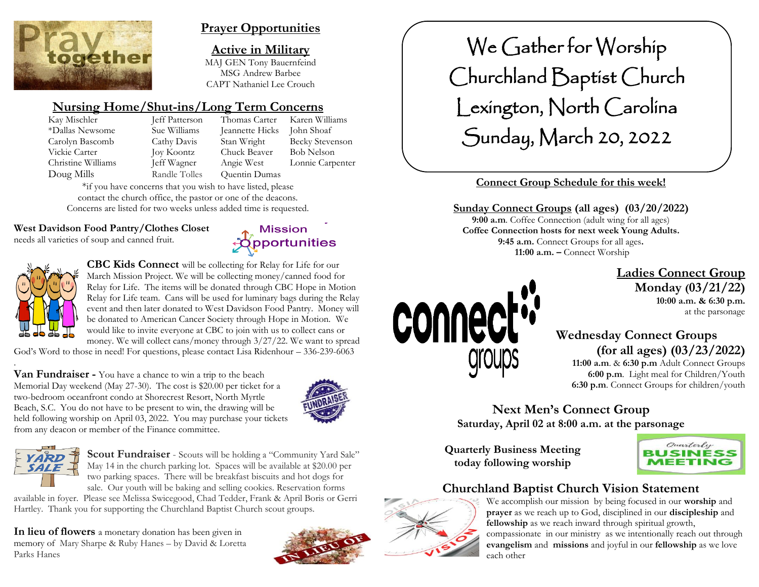

# **Prayer Opportunities**

**Active in Military** MAJ GEN Tony Bauernfeind MSG Andrew Barbee CAPT Nathaniel Lee Crouch

# **Nursing Home/Shut-ins/Long Term Concerns**

| Kay Mischler       |
|--------------------|
| *Dallas Newsome    |
| Carolyn Bascomb    |
| Vickie Carter      |
| Christine Williams |
| Doug Mills         |

Sue Williams Jeannette Hicks John Shoaf Joy Koontz Chuck Beaver Bob Nelson Randle Tolles Quentin Dumas

Jeff Patterson Thomas Carter Karen Williams Cathy Davis Stan Wright Becky Stevenson Jeff Wagner Angie West Lonnie Carpenter

\*if you have concerns that you wish to have listed, please contact the church office, the pastor or one of the deacons. Concerns are listed for two weeks unless added time is requested.

#### **West Davidson Food Pantry/Clothes Closet**

needs all varieties of soup and canned fruit.





.

**CBC Kids Connect** will be collecting for Relay for Life for our March Mission Project. We will be collecting money/canned food for Relay for Life. The items will be donated through CBC Hope in Motion Relay for Life team. Cans will be used for luminary bags during the Relay event and then later donated to West Davidson Food Pantry. Money will be donated to American Cancer Society through Hope in Motion. We would like to invite everyone at CBC to join with us to collect cans or money. We will collect cans/money through 3/27/22. We want to spread

God's Word to those in need! For questions, please contact Lisa Ridenhour – 336-239-6063

**Van Fundraiser -** You have a chance to win a trip to the beach Memorial Day weekend (May 27-30). The cost is \$20.00 per ticket for a two-bedroom oceanfront condo at Shorecrest Resort, North Myrtle Beach, S.C. You do not have to be present to win, the drawing will be held following worship on April 03, 2022. You may purchase your tickets from any deacon or member of the Finance committee.





**Scout Fundraiser** - Scouts will be holding a "Community Yard Sale" May 14 in the church parking lot. Spaces will be available at \$20.00 per two parking spaces. There will be breakfast biscuits and hot dogs for sale. Our youth will be baking and selling cookies. Reservation forms

available in foyer. Please see Melissa Swicegood, Chad Tedder, Frank & April Boris or Gerri Hartley. Thank you for supporting the Churchland Baptist Church scout groups.

**In lieu of flowers** a monetary donation has been given in memory of Mary Sharpe & Ruby Hanes – by David & Loretta Parks Hanes





# **Connect Group Schedule for this week!**

#### **Sunday Connect Groups (all ages) (03/20/2022) 9:00 a.m**. Coffee Connection (adult wing for all ages)

**Coffee Connection hosts for next week Young Adults. 9:45 a.m.** Connect Groups for all ages**. 11:00 a.m. –** Connect Worship

### **Ladies Connect Group Monday (03/21/22) 10:00 a.m. & 6:30 p.m.**



# **Wednesday Connect Groups (for all ages) (03/23/2022)**

 **11:00 a.m**. & **6:30 p.m** Adult Connect Groups  **6:00 p.m**. Light meal for Children/Youth **6:30 p.m**. Connect Groups for children/youth

**Next Men's Connect Group Saturday, April 02 at 8:00 a.m. at the parsonage**

**Quarterly Business Meeting today following worship**



# **Churchland Baptist Church Vision Statement**



connect

We accomplish our mission by being focused in our **worship** and **prayer** as we reach up to God, disciplined in our **discipleship** and **fellowship** as we reach inward through spiritual growth, compassionate in our ministry as we intentionally reach out through **evangelism** and **missions** and joyful in our **fellowship** as we love each other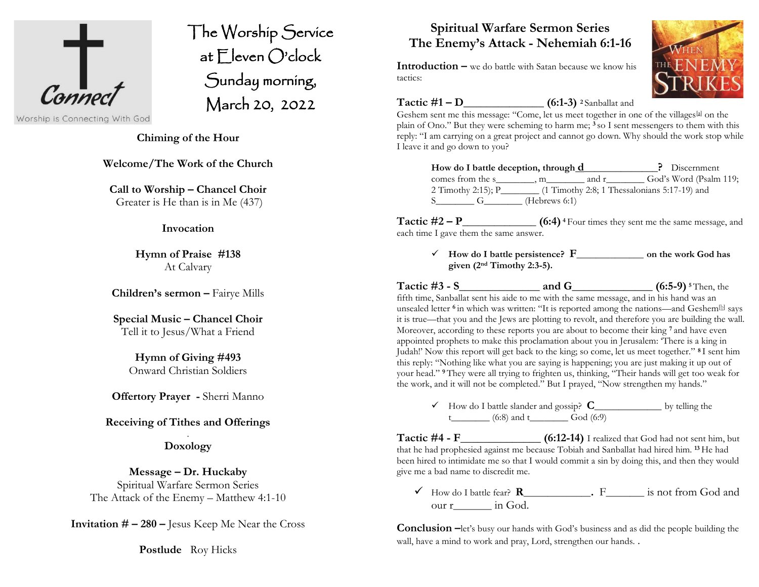

The Worship Service at Eleven O'clock Sunday morning, March 20, 2022 Î

Worship is Connecting With God

#### **Chiming of the Hour**

**Welcome/The Work of the Church**

**Call to Worship – Chancel Choir** Greater is He than is in Me (437)

#### **Invocation**

**Hymn of Praise #138** At Calvary

**Children's sermon –** Fairye Mills

**Special Music – Chancel Choir** Tell it to Jesus/What a Friend

> **Hymn of Giving #493** Onward Christian Soldiers

**Offertory Prayer -** Sherri Manno

#### **Receiving of Tithes and Offerings** .

**Doxology**

#### **Message – Dr. Huckaby** Spiritual Warfare Sermon Series

The Attack of the Enemy – Matthew 4:1-10

**Invitation # – 280 –** Jesus Keep Me Near the Cross

**Postlude** Roy Hicks

# **Spiritual Warfare Sermon Series The Enemy's Attack - Nehemiah 6:1-16**

**Introduction –** we do battle with Satan because we know his tactics:

**Tactic**  $#1 - D$  (6:1-3) **2** Sanballat and

Geshem sent me this message: "Come, let us meet together in one of the villages<sup>[\[a\]](https://www.biblegateway.com/passage/?search=nehemiah+6&version=NIV#fen-NIV-12404a)</sup> on the plain of Ono." But they were scheming to harm me; **<sup>3</sup>** so I sent messengers to them with this reply: "I am carrying on a great project and cannot go down. Why should the work stop while I leave it and go down to you?

| How do I battle deception, through d |                  |       | P Discernment                                |
|--------------------------------------|------------------|-------|----------------------------------------------|
| comes from the s, m                  |                  | and r | God's Word (Psalm 119;                       |
| 2 Timothy 2:15); $P_$                |                  |       | (1 Timothy 2:8; 1 Thessalonians 5:17-19) and |
|                                      | (Hebrews $6:1$ ) |       |                                              |

**Tactic #2 – P\_\_\_\_\_\_\_\_\_\_\_\_\_\_ (6:4) <sup>4</sup>** Four times they sent me the same message, and each time I gave them the same answer.

✓ **How do I battle persistence? F\_\_\_\_\_\_\_\_\_\_\_\_\_\_ on the work God has given (2nd Timothy 2:3-5).**

**Tactic #3 - S\_\_\_\_\_\_\_\_\_\_\_\_\_\_ and G\_\_\_\_\_\_\_\_\_\_\_\_\_\_ (6:5-9) <sup>5</sup>** Then, the fifth time, Sanballat sent his aide to me with the same message, and in his hand was an unsealed letter <sup>6</sup> in which was written: "It is reported among the nations—and Geshem<sup>[\[b\]](https://www.biblegateway.com/passage/?search=nehemiah+6&version=NIV#fen-NIV-12408b)</sup> says it is true—that you and the Jews are plotting to revolt, and therefore you are building the wall. Moreover, according to these reports you are about to become their king **<sup>7</sup>** and have even appointed prophets to make this proclamation about you in Jerusalem: 'There is a king in Judah!' Now this report will get back to the king; so come, let us meet together." **<sup>8</sup>** I sent him this reply: "Nothing like what you are saying is happening; you are just making it up out of your head." **<sup>9</sup>** They were all trying to frighten us, thinking, "Their hands will get too weak for the work, and it will not be completed." But I prayed, "Now strengthen my hands."

✓ How do I battle slander and gossip? **C\_\_\_\_\_\_\_\_\_\_\_\_\_\_** by telling the t  $(6:8)$  and t  $\overline{God(6:9)}$ 

**Tactic #4 - F\_\_\_\_\_\_\_\_\_\_\_\_\_\_ (6:12-14)** I realized that God had not sent him, but that he had prophesied against me because Tobiah and Sanballat had hired him. **<sup>13</sup>** He had been hired to intimidate me so that I would commit a sin by doing this, and then they would give me a bad name to discredit me.

✓ How do I battle fear? **R\_\_\_\_\_\_\_\_\_\_\_\_\_\_.** F\_\_\_\_\_\_\_\_ is not from God and our r in God.

**Conclusion**  $-\text{let's busy our hands with God's business and as did the people building the$ wall, have a mind to work and pray, Lord, strengthen our hands. .

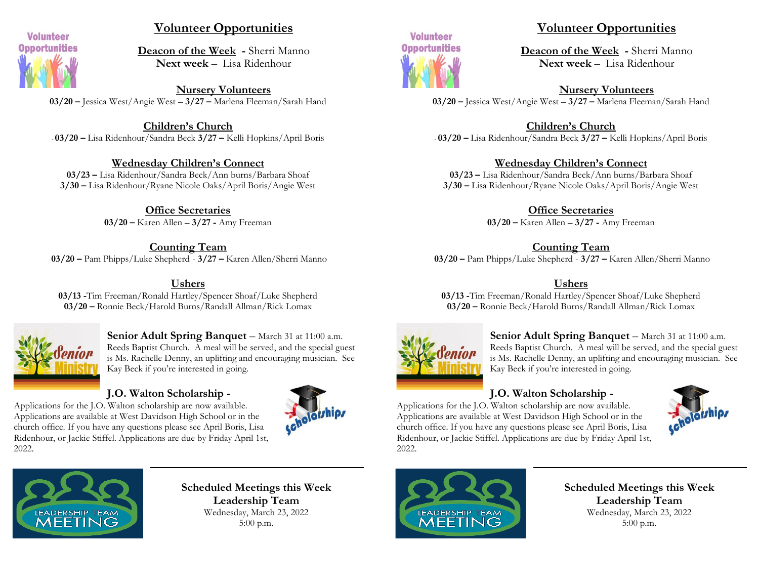

# **Volunteer Opportunities**

**Deacon of the Week -** Sherri Manno **Next week** – Lisa Ridenhour

**Nursery Volunteers 03/20 –** Jessica West/Angie West – **3/27 –** Marlena Fleeman/Sarah Hand

**Children's Church** - **03/20 –** Lisa Ridenhour/Sandra Beck **3/27 –** Kelli Hopkins/April Boris

#### **Wednesday Children's Connect**

**03/23 –** Lisa Ridenhour/Sandra Beck/Ann burns/Barbara Shoaf **3/30 –** Lisa Ridenhour/Ryane Nicole Oaks/April Boris/Angie West

> **Office Secretaries 03/20 –** Karen Allen – **3/27 -** Amy Freeman

**Counting Team 03/20 –** Pam Phipps/Luke Shepherd - **3/27 –** Karen Allen/Sherri Manno

#### **Ushers**

**03/13 -**Tim Freeman/Ronald Hartley/Spencer Shoaf/Luke Shepherd **03/20 –** Ronnie Beck/Harold Burns/Randall Allman/Rick Lomax



**Senior Adult Spring Banquet** – March 31 at 11:00 a.m. Reeds Baptist Church. A meal will be served, and the special guest is Ms. Rachelle Denny, an uplifting and encouraging musician. See Kay Beck if you're interested in going.

#### **J.O. Walton Scholarship -**

Applications for the J.O. Walton scholarship are now available. Applications are available at West Davidson High School or in the church office. If you have any questions please see April Boris, Lisa Ridenhour, or Jackie Stiffel. Applications are due by Friday April 1st, 2022.





# **Volunteer Opportunities**

**Deacon of the Week -** Sherri Manno **Next week** – Lisa Ridenhour

**Nursery Volunteers 03/20 –** Jessica West/Angie West – **3/27 –** Marlena Fleeman/Sarah Hand

**Children's Church** - **03/20 –** Lisa Ridenhour/Sandra Beck **3/27 –** Kelli Hopkins/April Boris

#### **Wednesday Children's Connect**

**03/23 –** Lisa Ridenhour/Sandra Beck/Ann burns/Barbara Shoaf **3/30 –** Lisa Ridenhour/Ryane Nicole Oaks/April Boris/Angie West

> **Office Secretaries 03/20 –** Karen Allen – **3/27 -** Amy Freeman

> > **Counting Team**

**03/20 –** Pam Phipps/Luke Shepherd - **3/27 –** Karen Allen/Sherri Manno

#### **Ushers**

**03/13 -**Tim Freeman/Ronald Hartley/Spencer Shoaf/Luke Shepherd **03/20 –** Ronnie Beck/Harold Burns/Randall Allman/Rick Lomax



**Senior Adult Spring Banquet** – March 31 at 11:00 a.m. Reeds Baptist Church. A meal will be served, and the special guest is Ms. Rachelle Denny, an uplifting and encouraging musician. See Kay Beck if you're interested in going.

### **J.O. Walton Scholarship -**

Applications for the J.O. Walton scholarship are now available. Applications are available at West Davidson High School or in the church office. If you have any questions please see April Boris, Lisa Ridenhour, or Jackie Stiffel. Applications are due by Friday April 1st, 2022.





**Scheduled Meetings this Week Leadership Team** Wednesday, March 23, 2022 5:00 p.m.



**Scheduled Meetings this Week Leadership Team** Wednesday, March 23, 2022 5:00 p.m.